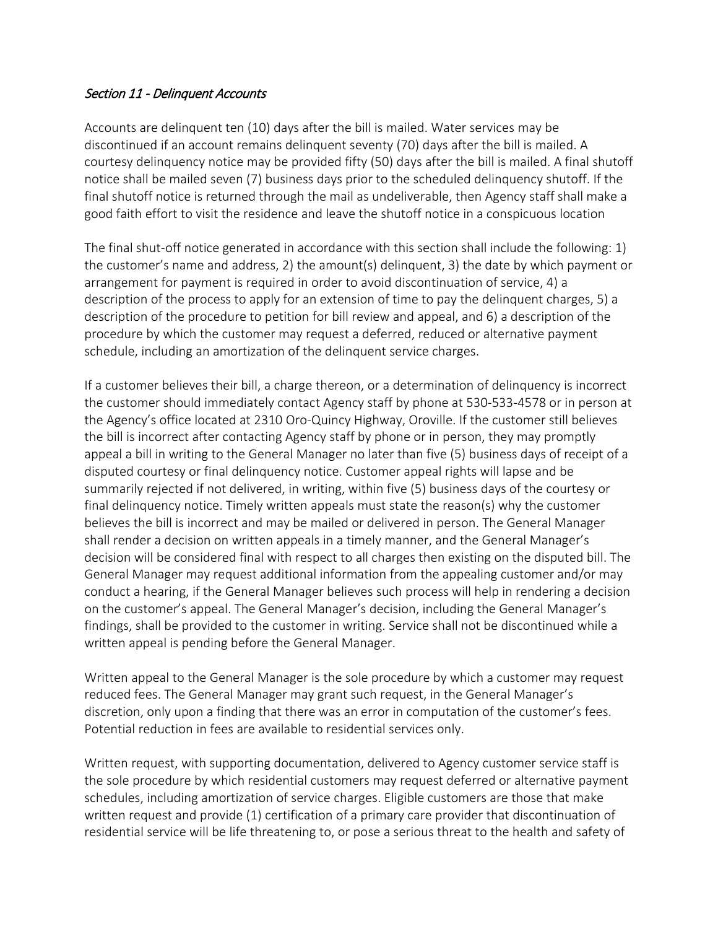## Section 11 - Delinquent Accounts

Accounts are delinquent ten (10) days after the bill is mailed. Water services may be discontinued if an account remains delinquent seventy (70) days after the bill is mailed. A courtesy delinquency notice may be provided fifty (50) days after the bill is mailed. A final shutoff notice shall be mailed seven (7) business days prior to the scheduled delinquency shutoff. If the final shutoff notice is returned through the mail as undeliverable, then Agency staff shall make a good faith effort to visit the residence and leave the shutoff notice in a conspicuous location

The final shut-off notice generated in accordance with this section shall include the following: 1) the customer's name and address, 2) the amount(s) delinquent, 3) the date by which payment or arrangement for payment is required in order to avoid discontinuation of service, 4) a description of the process to apply for an extension of time to pay the delinquent charges, 5) a description of the procedure to petition for bill review and appeal, and 6) a description of the procedure by which the customer may request a deferred, reduced or alternative payment schedule, including an amortization of the delinquent service charges.

If a customer believes their bill, a charge thereon, or a determination of delinquency is incorrect the customer should immediately contact Agency staff by phone at 530-533-4578 or in person at the Agency's office located at 2310 Oro-Quincy Highway, Oroville. If the customer still believes the bill is incorrect after contacting Agency staff by phone or in person, they may promptly appeal a bill in writing to the General Manager no later than five (5) business days of receipt of a disputed courtesy or final delinquency notice. Customer appeal rights will lapse and be summarily rejected if not delivered, in writing, within five (5) business days of the courtesy or final delinquency notice. Timely written appeals must state the reason(s) why the customer believes the bill is incorrect and may be mailed or delivered in person. The General Manager shall render a decision on written appeals in a timely manner, and the General Manager's decision will be considered final with respect to all charges then existing on the disputed bill. The General Manager may request additional information from the appealing customer and/or may conduct a hearing, if the General Manager believes such process will help in rendering a decision on the customer's appeal. The General Manager's decision, including the General Manager's findings, shall be provided to the customer in writing. Service shall not be discontinued while a written appeal is pending before the General Manager.

Written appeal to the General Manager is the sole procedure by which a customer may request reduced fees. The General Manager may grant such request, in the General Manager's discretion, only upon a finding that there was an error in computation of the customer's fees. Potential reduction in fees are available to residential services only.

Written request, with supporting documentation, delivered to Agency customer service staff is the sole procedure by which residential customers may request deferred or alternative payment schedules, including amortization of service charges. Eligible customers are those that make written request and provide (1) certification of a primary care provider that discontinuation of residential service will be life threatening to, or pose a serious threat to the health and safety of